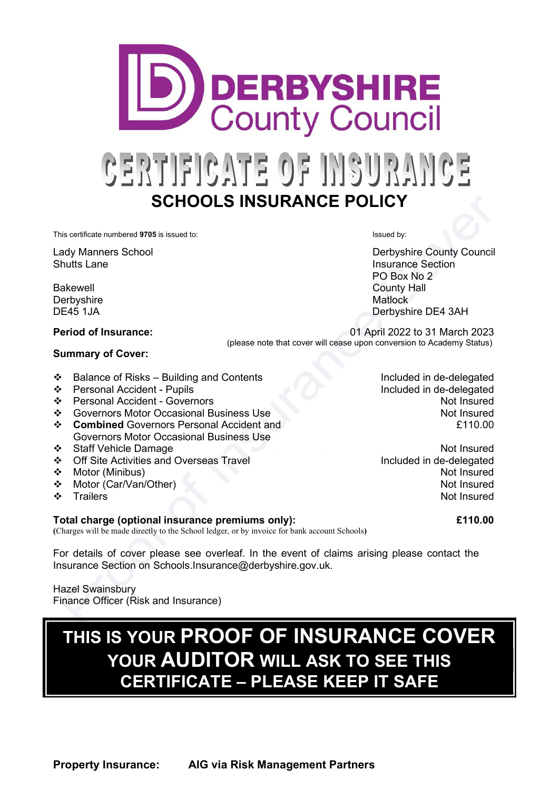This certificate numbered 9705 is issued to: Internal or the state of the state of the state of the state of the state of the state of the state of the state of the state of the state of the state of the state of the state

Lady Manners School **Derbyshire County Council** Shutts Lane **Insurance Section** 

Bakewell **Bakewell Bakewell Bakewell Bakewell Bakewell County Hall** Derbyshire Matlock and Matlock and Matlock and Matlock

### Period of Insurance: 01 April 2022 to 31 March 2023

#### Summary of Cover:

(please note that cover will cease upon conversion to Academy Status)

- ◆ Balance of Risks Building and Contents Included in de-delegated
- **\*** Personal Accident Pupils **Included in de-delegated in**  $\blacksquare$
- Personal Accident Governors
- ❖ Governors Motor Occasional Business Use
- **❖** Combined Governors Personal Accident and Governors Motor Occasional Business Use
- ◆ Staff Vehicle Damage Not Insured
- ◆ Off Site Activities and Overseas Travel Included in de-delegated
- 
- Motor (Car/Van/Other)
- ❖ Trailers

#### Total charge (optional insurance premiums only): £110.00

(Charges will be made directly to the School ledger, or by invoice for bank account Schools)

For details of cover please see overleaf. In the event of claims arising please contact the Insurance Section on Schools.Insurance@derbyshire.gov.uk.

Hazel Swainsbury Finance Officer (Risk and Insurance)

# THIS IS YOUR PROOF OF INSURANCE COVER YOUR AUDITOR WILL ASK TO SEE THIS CERTIFICATE – PLEASE KEEP IT SAFE

Not Insured Not Insured £110.00

◆ Motor (Minibus) Not Insured Not Insured Not Insured Not Insured Not Insured Not Insured

 PO Box No 2 DE45 1JA Derbyshire DE4 3AH

CERTIFICATE OF INSURANCE SCHOOLS INSURANCE POLICY

**DERBYSHIRE County Council**